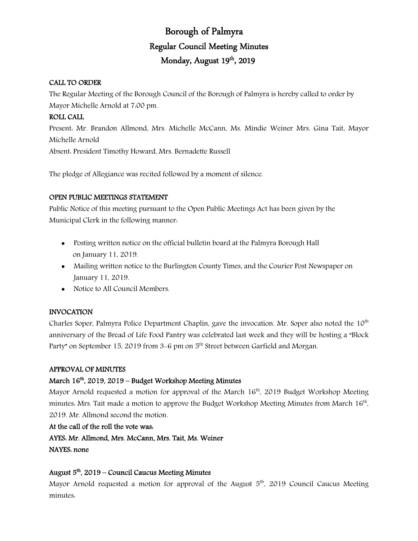# Borough of Palmyra Regular Council Meeting Minutes Monday, August 19<sup>th</sup>, 2019

#### CALL TO ORDER

The Regular Meeting of the Borough Council of the Borough of Palmyra is hereby called to order by Mayor Michelle Arnold at 7:00 pm.

# ROLL CALL

Present: Mr. Brandon Allmond, Mrs. Michelle McCann, Ms. Mindie Weiner Mrs. Gina Tait, Mayor Michelle Arnold

Absent: President Timothy Howard, Mrs. Bernadette Russell

The pledge of Allegiance was recited followed by a moment of silence.

## OPEN PUBLIC MEETINGS STATEMENT

Public Notice of this meeting pursuant to the Open Public Meetings Act has been given by the Municipal Clerk in the following manner:

- Posting written notice on the official bulletin board at the Palmyra Borough Hall on January 11, 2019.
- Mailing written notice to the Burlington County Times, and the Courier Post Newspaper on January 11, 2019.
- Notice to All Council Members.

## INVOCATION

Charles Soper, Palmyra Police Department Chaplin, gave the invocation. Mr. Soper also noted the 10<sup>th</sup> anniversary of the Bread of Life Food Pantry was celebrated last week and they will be hosting a "Block Party" on September 15, 2019 from 3-6 pm on 5<sup>th</sup> Street between Garfield and Morgan.

#### APPROVAL OF MINUTES

# March 16<sup>th</sup>, 2019, 2019 – Budget Workshop Meeting Minutes

Mayor Arnold requested a motion for approval of the March  $16<sup>th</sup>$ , 2019 Budget Workshop Meeting minutes: Mrs. Tait made a motion to approve the Budget Workshop Meeting Minutes from March 16th, 2019. Mr. Allmond second the motion.

#### At the call of the roll the vote was:

AYES: Mr. Allmond, Mrs. McCann, Mrs. Tait, Ms. Weiner

NAYES: none

#### August  $5<sup>th</sup>$ , 2019 – Council Caucus Meeting Minutes

Mayor Arnold requested a motion for approval of the August  $5<sup>th</sup>$ , 2019 Council Caucus Meeting minutes: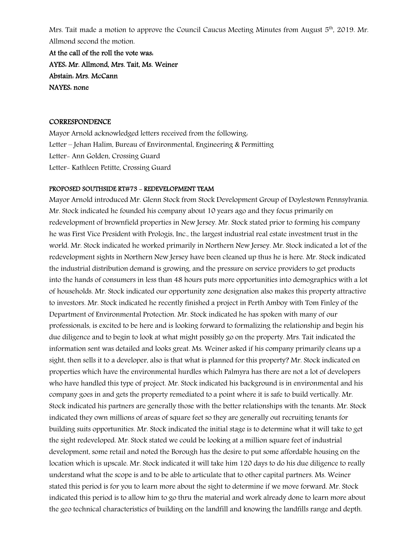Mrs. Tait made a motion to approve the Council Caucus Meeting Minutes from August  $5<sup>th</sup>$ , 2019. Mr. Allmond second the motion.

At the call of the roll the vote was: AYES: Mr. Allmond, Mrs. Tait, Ms. Weiner Abstain: Mrs. McCann NAYES: none

#### **CORRESPONDENCE**

Mayor Arnold acknowledged letters received from the following: Letter – Jehan Halim, Bureau of Environmental, Engineering & Permitting Letter- Ann Golden, Crossing Guard Letter- Kathleen Petitte, Crossing Guard

#### PROPOSED SOUTHSIDE RT#73 - REDEVELOPMENT TEAM

Mayor Arnold introduced Mr. Glenn Stock from Stock Development Group of Doylestown Pennsylvania. Mr. Stock indicated he founded his company about 10 years ago and they focus primarily on redevelopment of brownfield properties in New Jersey. Mr. Stock stated prior to forming his company he was First Vice President with Prologis, Inc., the largest industrial real estate investment trust in the world. Mr. Stock indicated he worked primarily in Northern New Jersey. Mr. Stock indicated a lot of the redevelopment sights in Northern New Jersey have been cleaned up thus he is here. Mr. Stock indicated the industrial distribution demand is growing, and the pressure on service providers to get products into the hands of consumers in less than 48 hours puts more opportunities into demographics with a lot of households. Mr. Stock indicated our opportunity zone designation also makes this property attractive to investors. Mr. Stock indicated he recently finished a project in Perth Amboy with Tom Finley of the Department of Environmental Protection. Mr. Stock indicated he has spoken with many of our professionals, is excited to be here and is looking forward to formalizing the relationship and begin his due diligence and to begin to look at what might possibly go on the property. Mrs. Tait indicated the information sent was detailed and looks great. Ms. Weiner asked if his company primarily cleans up a sight, then sells it to a developer, also is that what is planned for this property? Mr. Stock indicated on properties which have the environmental hurdles which Palmyra has there are not a lot of developers who have handled this type of project. Mr. Stock indicated his background is in environmental and his company goes in and gets the property remediated to a point where it is safe to build vertically. Mr. Stock indicated his partners are generally those with the better relationships with the tenants. Mr. Stock indicated they own millions of areas of square feet so they are generally out recruiting tenants for building suits opportunities. Mr. Stock indicated the initial stage is to determine what it will take to get the sight redeveloped. Mr. Stock stated we could be looking at a million square feet of industrial development, some retail and noted the Borough has the desire to put some affordable housing on the location which is upscale. Mr. Stock indicated it will take him 120 days to do his due diligence to really understand what the scope is and to be able to articulate that to other capital partners. Ms. Weiner stated this period is for you to learn more about the sight to determine if we move forward. Mr. Stock indicated this period is to allow him to go thru the material and work already done to learn more about the geo technical characteristics of building on the landfill and knowing the landfills range and depth.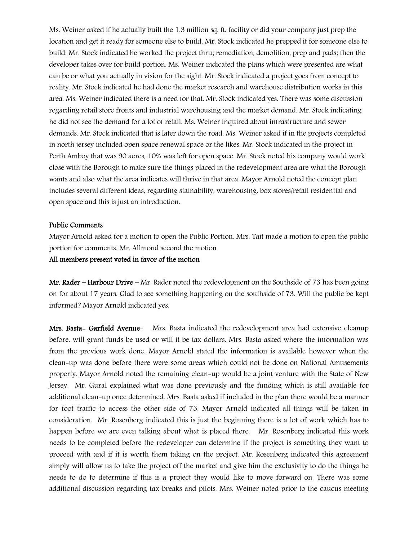Ms. Weiner asked if he actually built the 1.3 million sq. ft. facility or did your company just prep the location and get it ready for someone else to build. Mr. Stock indicated he prepped it for someone else to build. Mr. Stock indicated he worked the project thru; remediation, demolition, prep and pads; then the developer takes over for build portion. Ms. Weiner indicated the plans which were presented are what can be or what you actually in vision for the sight. Mr. Stock indicated a project goes from concept to reality. Mr. Stock indicated he had done the market research and warehouse distribution works in this area. Ms. Weiner indicated there is a need for that. Mr. Stock indicated yes. There was some discussion regarding retail store fronts and industrial warehousing and the market demand. Mr. Stock indicating he did not see the demand for a lot of retail. Ms. Weiner inquired about infrastructure and sewer demands. Mr. Stock indicated that is later down the road. Ms. Weiner asked if in the projects completed in north jersey included open space renewal space or the likes. Mr. Stock indicated in the project in Perth Amboy that was 90 acres, 10% was left for open space. Mr. Stock noted his company would work close with the Borough to make sure the things placed in the redevelopment area are what the Borough wants and also what the area indicates will thrive in that area. Mayor Arnold noted the concept plan includes several different ideas, regarding stainability, warehousing, box stores/retail residential and open space and this is just an introduction.

#### Public Comments

Mayor Arnold asked for a motion to open the Public Portion. Mrs. Tait made a motion to open the public portion for comments. Mr. Allmond second the motion

All members present voted in favor of the motion

Mr. Rader – Harbour Drive – Mr. Rader noted the redevelopment on the Southside of 73 has been going on for about 17 years. Glad to see something happening on the southside of 73. Will the public be kept informed? Mayor Arnold indicated yes.

Mrs. Basta- Garfield Avenue- Mrs. Basta indicated the redevelopment area had extensive cleanup before, will grant funds be used or will it be tax dollars. Mrs. Basta asked where the information was from the previous work done. Mayor Arnold stated the information is available however when the clean-up was done before there were some areas which could not be done on National Amusements property. Mayor Arnold noted the remaining clean-up would be a joint venture with the State of New Jersey. Mr. Gural explained what was done previously and the funding which is still available for additional clean-up once determined. Mrs. Basta asked if included in the plan there would be a manner for foot traffic to access the other side of 73. Mayor Arnold indicated all things will be taken in consideration. Mr. Rosenberg indicated this is just the beginning there is a lot of work which has to happen before we are even talking about what is placed there. Mr. Rosenberg indicated this work needs to be completed before the redeveloper can determine if the project is something they want to proceed with and if it is worth them taking on the project. Mr. Rosenberg indicated this agreement simply will allow us to take the project off the market and give him the exclusivity to do the things he needs to do to determine if this is a project they would like to move forward on. There was some additional discussion regarding tax breaks and pilots. Mrs. Weiner noted prior to the caucus meeting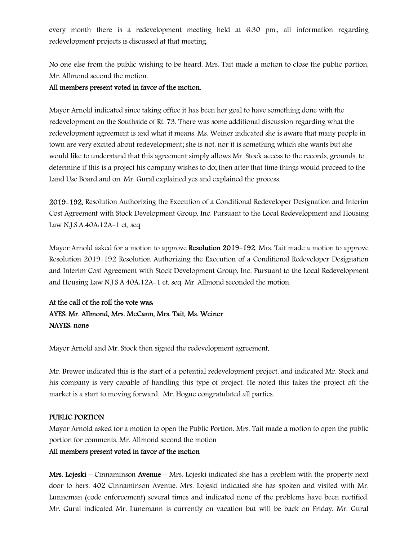every month there is a redevelopment meeting held at 6:30 pm., all information regarding redevelopment projects is discussed at that meeting.

No one else from the public wishing to be heard, Mrs. Tait made a motion to close the public portion, Mr. Allmond second the motion.

#### All members present voted in favor of the motion.

Mayor Arnold indicated since taking office it has been her goal to have something done with the redevelopment on the Southside of Rt. 73. There was some additional discussion regarding what the redevelopment agreement is and what it means. Ms. Weiner indicated she is aware that many people in town are very excited about redevelopment; she is not, nor it is something which she wants but she would like to understand that this agreement simply allows Mr. Stock access to the records, grounds, to determine if this is a project his company wishes to do; then after that time things would proceed to the Land Use Board and on. Mr. Gural explained yes and explained the process.

2019-192, Resolution Authorizing the Execution of a Conditional Redeveloper Designation and Interim Cost Agreement with Stock Development Group, Inc. Pursuant to the Local Redevelopment and Housing Law N.J.S.A.40A:12A-1 et, seq

Mayor Arnold asked for a motion to approve Resolution 2019-192. Mrs. Tait made a motion to approve Resolution 2019-192 Resolution Authorizing the Execution of a Conditional Redeveloper Designation and Interim Cost Agreement with Stock Development Group, Inc. Pursuant to the Local Redevelopment and Housing Law N.J.S.A.40A:12A-1 et, seq. Mr. Allmond seconded the motion.

# At the call of the roll the vote was: AYES: Mr. Allmond, Mrs. McCann, Mrs. Tait, Ms. Weiner NAYES: none

Mayor Arnold and Mr. Stock then signed the redevelopment agreement.

Mr. Brewer indicated this is the start of a potential redevelopment project, and indicated Mr. Stock and his company is very capable of handling this type of project. He noted this takes the project off the market is a start to moving forward. Mr. Hogue congratulated all parties.

## PUBLIC PORTION

Mayor Arnold asked for a motion to open the Public Portion. Mrs. Tait made a motion to open the public portion for comments. Mr. Allmond second the motion

## All members present voted in favor of the motion

**Mrs. Lojeski** – Cinnaminson **Avenue** – Mrs. Lojeski indicated she has a problem with the property next door to hers, 402 Cinnaminson Avenue. Mrs. Lojeski indicated she has spoken and visited with Mr. Lunneman (code enforcement) several times and indicated none of the problems have been rectified. Mr. Gural indicated Mr. Lunemann is currently on vacation but will be back on Friday. Mr. Gural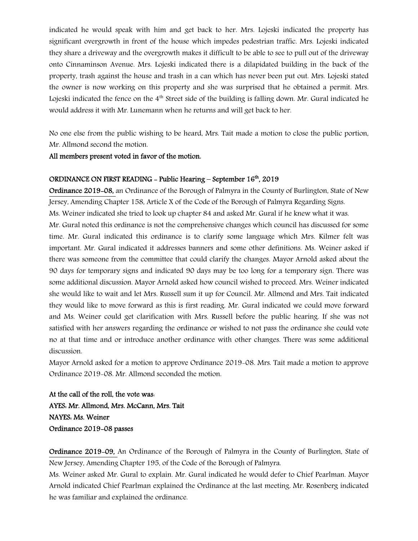indicated he would speak with him and get back to her. Mrs. Lojeski indicated the property has significant overgrowth in front of the house which impedes pedestrian traffic. Mrs. Lojeski indicated they share a driveway and the overgrowth makes it difficult to be able to see to pull out of the driveway onto Cinnaminson Avenue. Mrs. Lojeski indicated there is a dilapidated building in the back of the property, trash against the house and trash in a can which has never been put out. Mrs. Lojeski stated the owner is now working on this property and she was surprised that he obtained a permit. Mrs. Lojeski indicated the fence on the  $4<sup>th</sup>$  Street side of the building is falling down. Mr. Gural indicated he would address it with Mr. Lunemann when he returns and will get back to her.

No one else from the public wishing to be heard, Mrs. Tait made a motion to close the public portion, Mr. Allmond second the motion.

All members present voted in favor of the motion.

#### ORDINANCE ON FIRST READING - Public Hearing – September 16<sup>th</sup>, 2019

Ordinance 2019-08, an Ordinance of the Borough of Palmyra in the County of Burlington, State of New Jersey, Amending Chapter 158, Article X of the Code of the Borough of Palmyra Regarding Signs. Ms. Weiner indicated she tried to look up chapter 84 and asked Mr. Gural if he knew what it was. Mr. Gural noted this ordinance is not the comprehensive changes which council has discussed for some time. Mr. Gural indicated this ordinance is to clarify some language which Mrs. Kilmer felt was important. Mr. Gural indicated it addresses banners and some other definitions. Ms. Weiner asked if there was someone from the committee that could clarify the changes. Mayor Arnold asked about the 90 days for temporary signs and indicated 90 days may be too long for a temporary sign. There was some additional discussion. Mayor Arnold asked how council wished to proceed. Mrs. Weiner indicated she would like to wait and let Mrs. Russell sum it up for Council. Mr. Allmond and Mrs. Tait indicated they would like to move forward as this is first reading. Mr. Gural indicated we could move forward and Ms. Weiner could get clarification with Mrs. Russell before the public hearing. If she was not satisfied with her answers regarding the ordinance or wished to not pass the ordinance she could vote no at that time and or introduce another ordinance with other changes. There was some additional discussion.

Mayor Arnold asked for a motion to approve Ordinance 2019-08. Mrs. Tait made a motion to approve Ordinance 2019-08. Mr. Allmond seconded the motion.

At the call of the roll, the vote was: AYES: Mr. Allmond, Mrs. McCann, Mrs. Tait NAYES: Ms. Weiner Ordinance 2019-08 passes

Ordinance 2019-09, An Ordinance of the Borough of Palmyra in the County of Burlington, State of New Jersey, Amending Chapter 195, of the Code of the Borough of Palmyra.

Ms. Weiner asked Mr. Gural to explain. Mr. Gural indicated he would defer to Chief Pearlman. Mayor Arnold indicated Chief Pearlman explained the Ordinance at the last meeting. Mr. Rosenberg indicated he was familiar and explained the ordinance.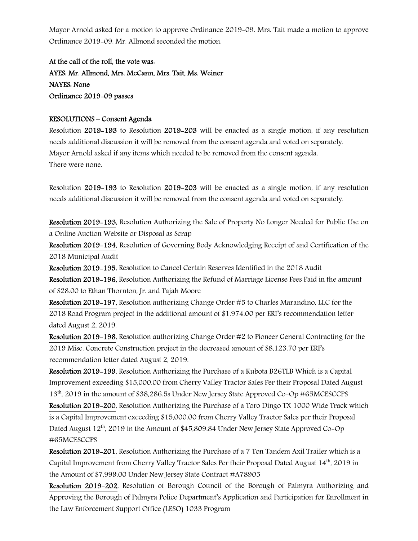Mayor Arnold asked for a motion to approve Ordinance 2019-09. Mrs. Tait made a motion to approve Ordinance 2019-09. Mr. Allmond seconded the motion.

At the call of the roll, the vote was: AYES: Mr. Allmond, Mrs. McCann, Mrs. Tait, Ms. Weiner NAYES: None Ordinance 2019-09 passes

#### RESOLUTIONS – Consent Agenda

Resolution 2019-193 to Resolution 2019-203 will be enacted as a single motion, if any resolution needs additional discussion it will be removed from the consent agenda and voted on separately. Mayor Arnold asked if any items which needed to be removed from the consent agenda. There were none.

Resolution 2019-193 to Resolution 2019-203 will be enacted as a single motion, if any resolution needs additional discussion it will be removed from the consent agenda and voted on separately.

Resolution 2019-193, Resolution Authorizing the Sale of Property No Longer Needed for Public Use on a Online Auction Website or Disposal as Scrap

Resolution 2019-194, Resolution of Governing Body Acknowledging Receipt of and Certification of the 2018 Municipal Audit

Resolution 2019-195, Resolution to Cancel Certain Reserves Identified in the 2018 Audit

Resolution 2019-196, Resolution Authorizing the Refund of Marriage License Fees Paid in the amount of \$28.00 to Ethan Thornton, Jr. and Tajah Moore

Resolution 2019-197, Resolution authorizing Change Order #5 to Charles Marandino, LLC for the 2018 Road Program project in the additional amount of \$1,974.00 per ERI's recommendation letter dated August 2, 2019.

Resolution 2019-198, Resolution authorizing Change Order #2 to Pioneer General Contracting for the 2019 Misc. Concrete Construction project in the decreased amount of \$8,123.70 per ERI's recommendation letter dated August 2, 2019.

Resolution 2019-199, Resolution Authorizing the Purchase of a Kubota B26TLB Which is a Capital Improvement exceeding \$15,000.00 from Cherry Valley Tractor Sales Per their Proposal Dated August 13th, 2019 in the amount of \$38,286.5s Under New Jersey State Approved Co-Op #65MCESCCPS

Resolution 2019-200, Resolution Authorizing the Purchase of a Toro Dingo TX 1000 Wide Track which is a Capital Improvement exceeding \$15,000.00 from Cherry Valley Tractor Sales per their Proposal Dated August 12<sup>th</sup>, 2019 in the Amount of \$45,809.84 Under New Jersey State Approved Co-Op #65MCESCCPS

Resolution 2019-201, Resolution Authorizing the Purchase of a 7 Ton Tandem Axil Trailer which is a Capital Improvement from Cherry Valley Tractor Sales Per their Proposal Dated August 14th, 2019 in the Amount of \$7,999.00 Under New Jersey State Contract #A78905

Resolution 2019-202, Resolution of Borough Council of the Borough of Palmyra Authorizing and Approving the Borough of Palmyra Police Department's Application and Participation for Enrollment in the Law Enforcement Support Office (LESO) 1033 Program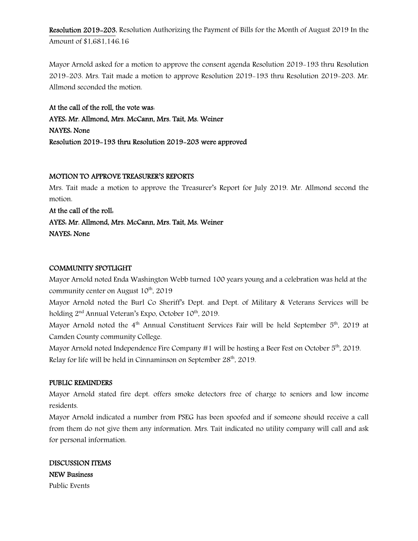Resolution 2019-203, Resolution Authorizing the Payment of Bills for the Month of August 2019 In the Amount of \$1,681,146.16

Mayor Arnold asked for a motion to approve the consent agenda Resolution 2019-193 thru Resolution 2019-203. Mrs. Tait made a motion to approve Resolution 2019-193 thru Resolution 2019-203. Mr. Allmond seconded the motion.

At the call of the roll, the vote was: AYES: Mr. Allmond, Mrs. McCann, Mrs. Tait, Ms. Weiner NAYES: None Resolution 2019-193 thru Resolution 2019-203 were approved

#### MOTION TO APPROVE TREASURER'S REPORTS

Mrs. Tait made a motion to approve the Treasurer's Report for July 2019. Mr. Allmond second the motion.

## At the call of the roll:

AYES: Mr. Allmond, Mrs. McCann, Mrs. Tait, Ms. Weiner

NAYES: None

#### COMMUNITY SPOTLIGHT

Mayor Arnold noted Enda Washington Webb turned 100 years young and a celebration was held at the community center on August  $10^{th}$ ,  $2019$ 

Mayor Arnold noted the Burl Co Sheriff's Dept. and Dept. of Military & Veterans Services will be holding 2<sup>nd</sup> Annual Veteran's Expo, October 10<sup>th</sup>, 2019.

Mayor Arnold noted the 4<sup>th</sup> Annual Constituent Services Fair will be held September 5<sup>th</sup>. 2019 at Camden County community College.

Mayor Arnold noted Independence Fire Company  $\#1$  will be hosting a Beer Fest on October  $5<sup>th</sup>$ , 2019. Relay for life will be held in Cinnaminson on September 28<sup>th</sup>, 2019.

#### PUBLIC REMINDERS

Mayor Arnold stated fire dept. offers smoke detectors free of charge to seniors and low income residents.

Mayor Arnold indicated a number from PSEG has been spoofed and if someone should receive a call from them do not give them any information. Mrs. Tait indicated no utility company will call and ask for personal information.

DISCUSSION ITEMS NEW Business Public Events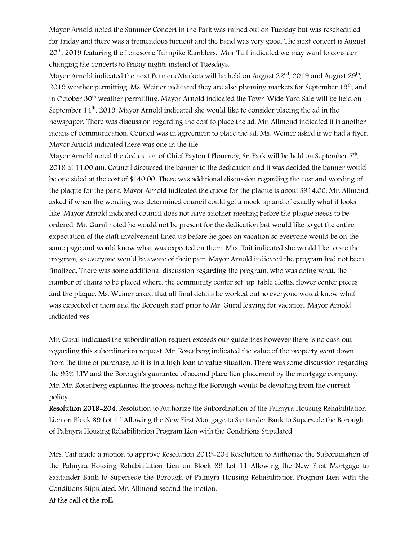Mayor Arnold noted the Summer Concert in the Park was rained out on Tuesday but was rescheduled for Friday and there was a tremendous turnout and the band was very good. The next concert is August 20<sup>th</sup>, 2019 featuring the Lonesome Turnpike Ramblers. Mrs. Tait indicated we may want to consider changing the concerts to Friday nights instead of Tuesdays.

Mayor Arnold indicated the next Farmers Markets will be held on August  $22<sup>nd</sup>$ , 2019 and August  $29<sup>th</sup>$ , 2019 weather permitting. Ms. Weiner indicated they are also planning markets for September 19<sup>th</sup>, and in October 30th weather permitting. Mayor Arnold indicated the Town Wide Yard Sale will be held on September  $14<sup>th</sup>$ , 2019. Mayor Arnold indicated she would like to consider placing the ad in the newspaper. There was discussion regarding the cost to place the ad. Mr. Allmond indicated it is another means of communication. Council was in agreement to place the ad. Ms. Weiner asked if we had a flyer. Mayor Arnold indicated there was one in the file.

Mayor Arnold noted the dedication of Chief Payton I Flournoy, Sr. Park will be held on September 7th, 2019 at 11:00 am. Council discussed the banner to the dedication and it was decided the banner would be one sided at the cost of \$140.00. There was additional discussion regarding the cost and wording of the plaque for the park. Mayor Arnold indicated the quote for the plaque is about \$914.00. Mr. Allmond asked if when the wording was determined council could get a mock up and of exactly what it looks like. Mayor Arnold indicated council does not have another meeting before the plaque needs to be ordered. Mr. Gural noted he would not be present for the dedication but would like to get the entire expectation of the staff involvement lined up before he goes on vacation so everyone would be on the same page and would know what was expected on them. Mrs. Tait indicated she would like to see the program, so everyone would be aware of their part. Mayor Arnold indicated the program had not been finalized. There was some additional discussion regarding the program, who was doing what, the number of chairs to be placed where, the community center set-up, table cloths, flower center pieces and the plaque. Ms. Weiner asked that all final details be worked out so everyone would know what was expected of them and the Borough staff prior to Mr. Gural leaving for vacation. Mayor Arnold indicated yes

Mr. Gural indicated the subordination request exceeds our guidelines however there is no cash out regarding this subordination request. Mr. Rosenberg indicated the value of the property went down from the time of purchase, so it is in a high loan to value situation. There was some discussion regarding the 95% LTV and the Borough's guarantee of second place lien placement by the mortgage company. Mr. Mr. Rosenberg explained the process noting the Borough would be deviating from the current policy.

Resolution 2019-204, Resolution to Authorize the Subordination of the Palmyra Housing Rehabilitation Lien on Block 89 Lot 11 Allowing the New First Mortgage to Santander Bank to Supersede the Borough of Palmyra Housing Rehabilitation Program Lien with the Conditions Stipulated.

Mrs. Tait made a motion to approve Resolution 2019-204 Resolution to Authorize the Subordination of the Palmyra Housing Rehabilitation Lien on Block 89 Lot 11 Allowing the New First Mortgage to Santander Bank to Supersede the Borough of Palmyra Housing Rehabilitation Program Lien with the Conditions Stipulated. Mr. Allmond second the motion.

## At the call of the roll: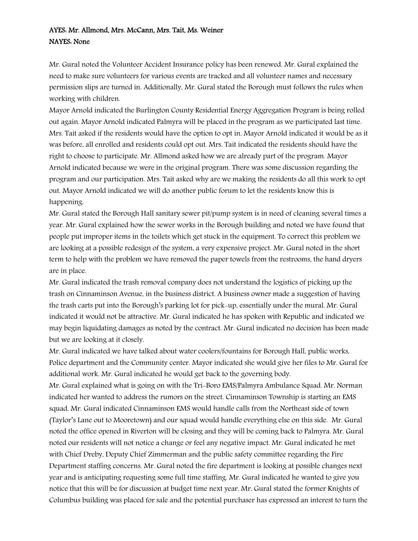# AYES: Mr. Allmond, Mrs. McCann, Mrs. Tait, Ms. Weiner NAYES: None

Mr. Gural noted the Volunteer Accident Insurance policy has been renewed. Mr. Gural explained the need to make sure volunteers for various events are tracked and all volunteer names and necessary permission slips are turned in. Additionally, Mr. Gural stated the Borough must follows the rules when working with children.

Mayor Arnold indicated the Burlington County Residential Energy Aggregation Program is being rolled out again. Mayor Arnold indicated Palmyra will be placed in the program as we participated last time. Mrs. Tait asked if the residents would have the option to opt in. Mayor Arnold indicated it would be as it was before, all enrolled and residents could opt out. Mrs. Tait indicated the residents should have the right to choose to participate. Mr. Allmond asked how we are already part of the program. Mayor Arnold indicated because we were in the original program. There was some discussion regarding the program and our participation. Mrs. Tait asked why are we making the residents do all this work to opt out. Mayor Arnold indicated we will do another public forum to let the residents know this is happening.

Mr. Gural stated the Borough Hall sanitary sewer pit/pump system is in need of cleaning several times a year. Mr. Gural explained how the sewer works in the Borough building and noted we have found that people put improper items in the toilets which get stuck in the equipment. To correct this problem we are looking at a possible redesign of the system, a very expensive project. Mr. Gural noted in the short term to help with the problem we have removed the paper towels from the restrooms, the hand dryers are in place.

Mr. Gural indicated the trash removal company does not understand the logistics of picking up the trash on Cinnaminson Avenue, in the business district. A business owner made a suggestion of having the trash carts put into the Borough's parking lot for pick-up, essentially under the mural. Mr. Gural indicated it would not be attractive. Mr. Gural indicated he has spoken with Republic and indicated we may begin liquidating damages as noted by the contract. Mr. Gural indicated no decision has been made but we are looking at it closely.

Mr. Gural indicated we have talked about water coolers/fountains for Borough Hall, public works, Police department and the Community center. Mayor indicated she would give her files to Mr. Gural for additional work. Mr. Gural indicated he would get back to the governing body.

Mr. Gural explained what is going on with the Tri-Boro EMS/Palmyra Ambulance Squad. Mr. Norman indicated her wanted to address the rumors on the street. Cinnaminson Township is starting an EMS squad. Mr. Gural indicated Cinnaminson EMS would handle calls from the Northeast side of town (Taylor's Lane out to Mooretown) and our squad would handle everything else on this side. Mr. Gural noted the office opened in Riverton will be closing and they will be coming back to Palmyra. Mr. Gural noted our residents will not notice a change or feel any negative impact. Mr. Gural indicated he met with Chief Dreby, Deputy Chief Zimmerman and the public safety committee regarding the Fire Department staffing concerns. Mr. Gural noted the fire department is looking at possible changes next year and is anticipating requesting some full time staffing. Mr. Gural indicated he wanted to give you notice that this will be for discussion at budget time next year. Mr. Gural stated the former Knights of Columbus building was placed for sale and the potential purchaser has expressed an interest to turn the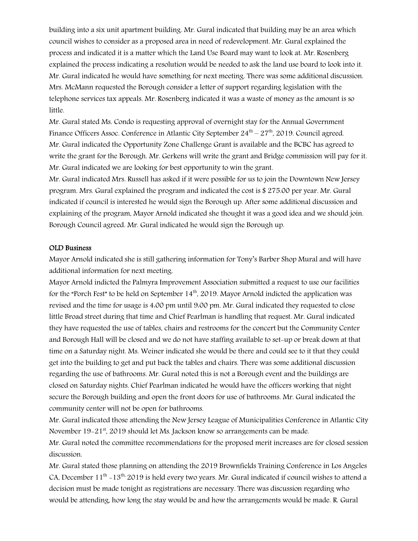building into a six unit apartment building. Mr. Gural indicated that building may be an area which council wishes to consider as a proposed area in need of redevelopment. Mr. Gural explained the process and indicated it is a matter which the Land Use Board may want to look at. Mr. Rosenberg explained the process indicating a resolution would be needed to ask the land use board to look into it. Mr. Gural indicated he would have something for next meeting. There was some additional discussion. Mrs. McMann requested the Borough consider a letter of support regarding legislation with the telephone services tax appeals. Mr. Rosenberg indicated it was a waste of money as the amount is so little.

Mr. Gural stated Ms. Condo is requesting approval of overnight stay for the Annual Government Finance Officers Assoc. Conference in Atlantic City September  $24^{\text{th}} - 27^{\text{th}}$ , 2019. Council agreed. Mr. Gural indicated the Opportunity Zone Challenge Grant is available and the BCBC has agreed to write the grant for the Borough. Mr. Gerkens will write the grant and Bridge commission will pay for it. Mr. Gural indicated we are looking for best opportunity to win the grant.

Mr. Gural indicated Mrs. Russell has asked if it were possible for us to join the Downtown New Jersey program. Mrs. Gural explained the program and indicated the cost is \$ 275.00 per year. Mr. Gural indicated if council is interested he would sign the Borough up. After some additional discussion and explaining of the program, Mayor Arnold indicated she thought it was a good idea and we should join. Borough Council agreed. Mr. Gural indicated he would sign the Borough up.

#### OLD Business

Mayor Arnold indicated she is still gathering information for Tony's Barber Shop Mural and will have additional information for next meeting.

Mayor Arnold indicted the Palmyra Improvement Association submitted a request to use our facilities for the "Porch Fest" to be held on September  $14<sup>th</sup>$ , 2019. Mayor Arnold indicted the application was revised and the time for usage is 4:00 pm until 9:00 pm. Mr. Gural indicated they requested to close little Broad street during that time and Chief Pearlman is handling that request. Mr. Gural indicated they have requested the use of tables, chairs and restrooms for the concert but the Community Center and Borough Hall will be closed and we do not have staffing available to set-up or break down at that time on a Saturday night. Ms. Weiner indicated she would be there and could see to it that they could get into the building to get and put back the tables and chairs. There was some additional discussion regarding the use of bathrooms. Mr. Gural noted this is not a Borough event and the buildings are closed on Saturday nights. Chief Pearlman indicated he would have the officers working that night secure the Borough building and open the front doors for use of bathrooms. Mr. Gural indicated the community center will not be open for bathrooms.

Mr. Gural indicated those attending the New Jersey League of Municipalities Conference in Atlantic City November 19-21<sup>st</sup>, 2019 should let Ms. Jackson know so arrangements can be made.

Mr. Gural noted the committee recommendations for the proposed merit increases are for closed session discussion.

Mr. Gural stated those planning on attending the 2019 Brownfields Training Conference in Los Angeles CA, December  $11^{th}$  –  $13^{th}$ , 2019 is held every two years. Mr. Gural indicated if council wishes to attend a decision must be made tonight as registrations are necessary. There was discussion regarding who would be attending, how long the stay would be and how the arrangements would be made. R. Gural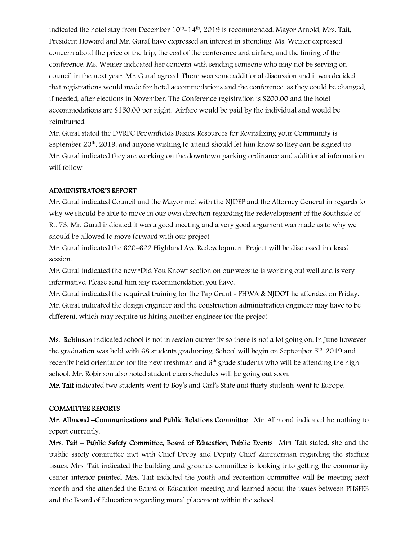indicated the hotel stay from December  $10^{th}$ -14<sup>th</sup>, 2019 is recommended. Mayor Arnold, Mrs. Tait, President Howard and Mr. Gural have expressed an interest in attending. Ms. Weiner expressed concern about the price of the trip, the cost of the conference and airfare, and the timing of the conference. Ms. Weiner indicated her concern with sending someone who may not be serving on council in the next year. Mr. Gural agreed. There was some additional discussion and it was decided that registrations would made for hotel accommodations and the conference, as they could be changed, if needed, after elections in November. The Conference registration is \$200.00 and the hotel accommodations are \$150.00 per night. Airfare would be paid by the individual and would be reimbursed.

Mr. Gural stated the DVRPC Brownfields Basics: Resources for Revitalizing your Community is September  $20^{th}$ , 2019, and anyone wishing to attend should let him know so they can be signed up. Mr. Gural indicated they are working on the downtown parking ordinance and additional information will follow.

#### ADMINISTRATOR'S REPORT

Mr. Gural indicated Council and the Mayor met with the NJDEP and the Attorney General in regards to why we should be able to move in our own direction regarding the redevelopment of the Southside of Rt. 73. Mr. Gural indicated it was a good meeting and a very good argument was made as to why we should be allowed to move forward with our project.

Mr. Gural indicated the 620-622 Highland Ave Redevelopment Project will be discussed in closed session.

Mr. Gural indicated the new "Did You Know" section on our website is working out well and is very informative. Please send him any recommendation you have.

Mr. Gural indicated the required training for the Tap Grant - FHWA & NJDOT he attended on Friday. Mr. Gural indicated the design engineer and the construction administration engineer may have to be different, which may require us hiring another engineer for the project.

Ms. Robinson indicated school is not in session currently so there is not a lot going on. In June however the graduation was held with 68 students graduating. School will begin on September 5<sup>th</sup>, 2019 and recently held orientation for the new freshman and  $6<sup>th</sup>$  grade students who will be attending the high school. Mr. Robinson also noted student class schedules will be going out soon.

Mr. Tait indicated two students went to Boy's and Girl's State and thirty students went to Europe.

#### COMMITTEE REPORTS

Mr. Allmond –Communications and Public Relations Committee- Mr. Allmond indicated he nothing to report currently.

Mrs. Tait – Public Safety Committee, Board of Education, Public Events- Mrs. Tait stated, she and the public safety committee met with Chief Dreby and Deputy Chief Zimmerman regarding the staffing issues. Mrs. Tait indicated the building and grounds committee is looking into getting the community center interior painted. Mrs. Tait indicted the youth and recreation committee will be meeting next month and she attended the Board of Education meeting and learned about the issues between PHSFEE and the Board of Education regarding mural placement within the school.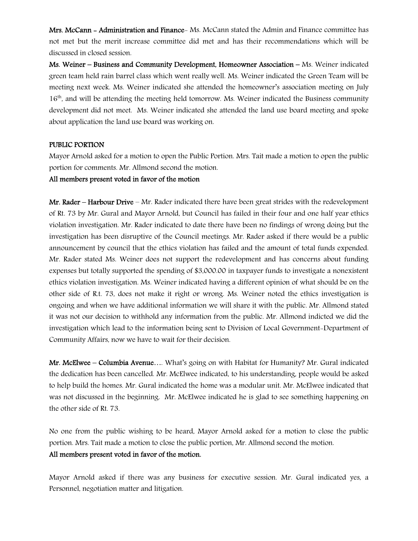Mrs. McCann - Administration and Finance- Ms. McCann stated the Admin and Finance committee has not met but the merit increase committee did met and has their recommendations which will be discussed in closed session.

Ms. Weiner – Business and Community Development, Homeowner Association – Ms. Weiner indicated green team held rain barrel class which went really well. Ms. Weiner indicated the Green Team will be meeting next week. Ms. Weiner indicated she attended the homeowner's association meeting on July 16<sup>th</sup>, and will be attending the meeting held tomorrow. Ms. Weiner indicated the Business community development did not meet. Ms. Weiner indicated she attended the land use board meeting and spoke about application the land use board was working on.

#### PUBLIC PORTION

Mayor Arnold asked for a motion to open the Public Portion. Mrs. Tait made a motion to open the public portion for comments. Mr. Allmond second the motion.

#### All members present voted in favor of the motion

Mr. Rader – Harbour Drive – Mr. Rader indicated there have been great strides with the redevelopment of Rt. 73 by Mr. Gural and Mayor Arnold, but Council has failed in their four and one half year ethics violation investigation. Mr. Rader indicated to date there have been no findings of wrong doing but the investigation has been disruptive of the Council meetings. Mr. Rader asked if there would be a public announcement by council that the ethics violation has failed and the amount of total funds expended. Mr. Rader stated Ms. Weiner does not support the redevelopment and has concerns about funding expenses but totally supported the spending of \$3,000.00 in taxpayer funds to investigate a nonexistent ethics violation investigation. Ms. Weiner indicated having a different opinion of what should be on the other side of R.t. 73, does not make it right or wrong. Ms. Weiner noted the ethics investigation is ongoing and when we have additional information we will share it with the public. Mr. Allmond stated it was not our decision to withhold any information from the public. Mr. Allmond indicted we did the investigation which lead to the information being sent to Division of Local Government-Department of Community Affairs, now we have to wait for their decision.

Mr. McElwee – Columbia Avenue…. What's going on with Habitat for Humanity? Mr. Gural indicated the dedication has been cancelled. Mr. McElwee indicated, to his understanding, people would be asked to help build the homes. Mr. Gural indicated the home was a modular unit. Mr. McElwee indicated that was not discussed in the beginning. Mr. McElwee indicated he is glad to see something happening on the other side of Rt. 73.

No one from the public wishing to be heard, Mayor Arnold asked for a motion to close the public portion. Mrs. Tait made a motion to close the public portion, Mr. Allmond second the motion. All members present voted in favor of the motion.

Mayor Arnold asked if there was any business for executive session. Mr. Gural indicated yes, a Personnel, negotiation matter and litigation.